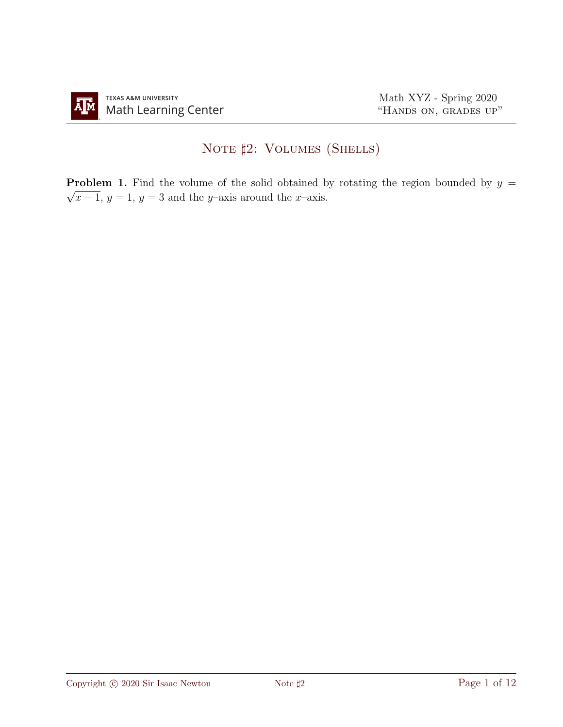## NOTE  $\sharp 2$ : VOLUMES (SHELLS)

**Problem 1.** Find the volume of the solid obtained by rotating the region bounded by  $y =$  $\sqrt{x-1}$ ,  $y=1$ ,  $y=3$  and the y–axis around the x–axis.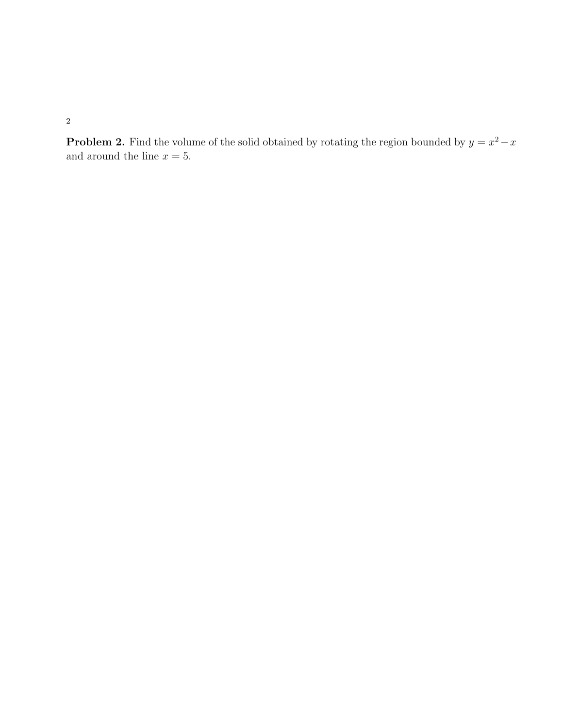**Problem 2.** Find the volume of the solid obtained by rotating the region bounded by  $y = x^2 - x$ and around the line  $x = 5$ .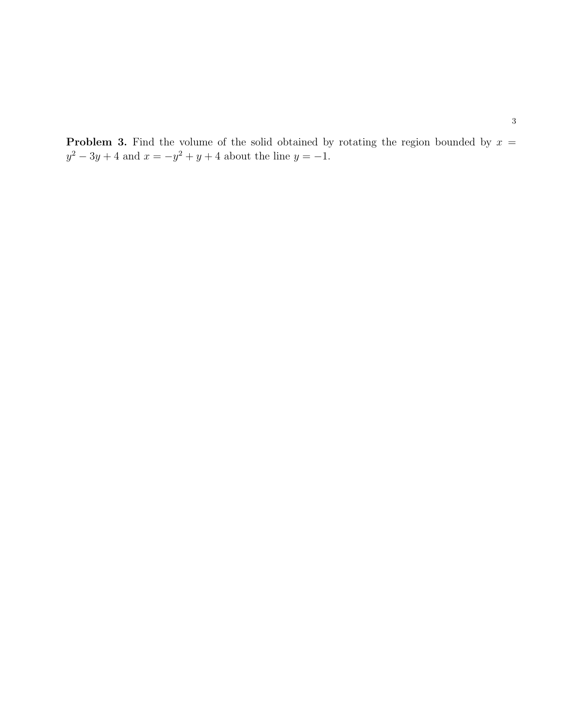**Problem 3.** Find the volume of the solid obtained by rotating the region bounded by  $x =$  $y^2 - 3y + 4$  and  $x = -y^2 + y + 4$  about the line  $y = -1$ .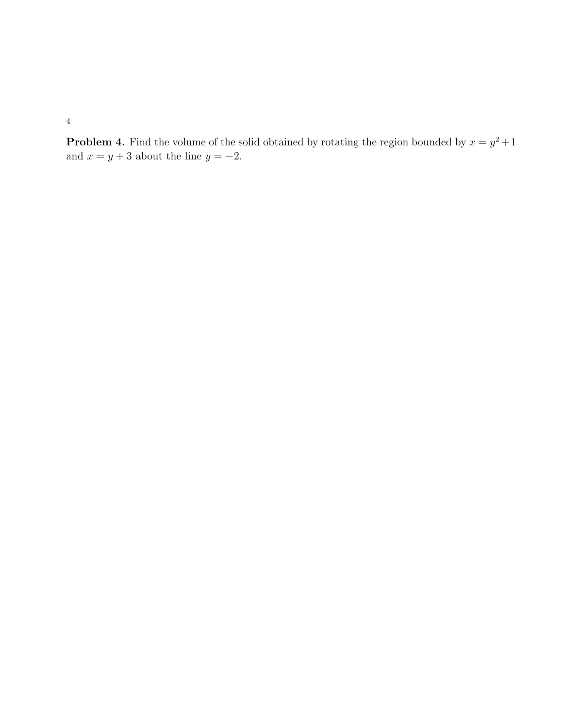**Problem 4.** Find the volume of the solid obtained by rotating the region bounded by  $x = y^2 + 1$ and  $x = y + 3$  about the line  $y = -2$ .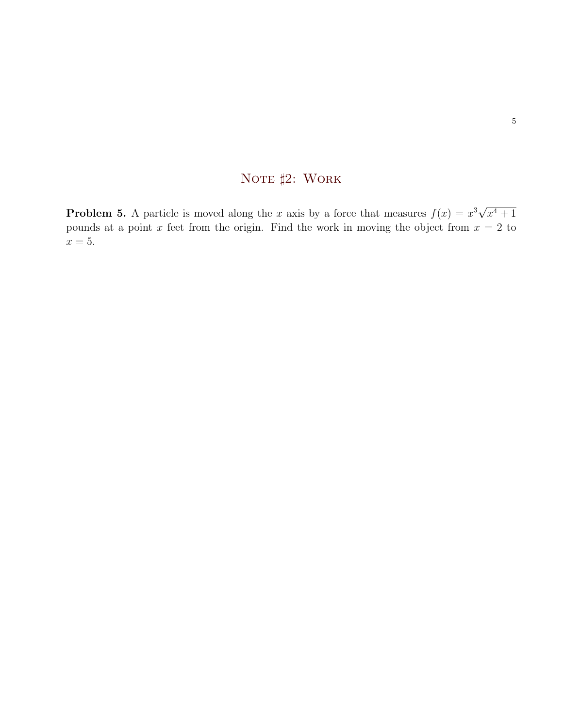## NOTE  $\sharp 2$ : WORK

**Problem 5.** A particle is moved along the x axis by a force that measures  $f(x) = x^3 \sqrt{x}$  $x^4 + 1$ pounds at a point x feet from the origin. Find the work in moving the object from  $x = 2$  to  $x = 5$ .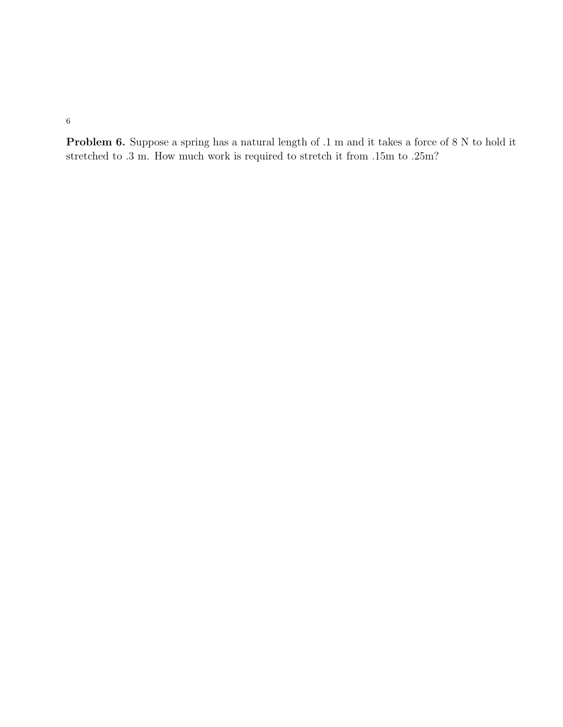Problem 6. Suppose a spring has a natural length of .1 m and it takes a force of 8 N to hold it stretched to .3 m. How much work is required to stretch it from .15m to .25m?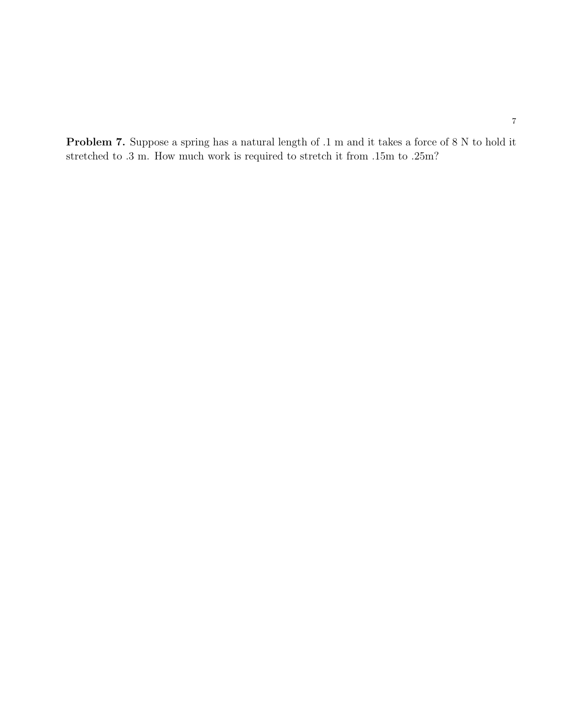Problem 7. Suppose a spring has a natural length of .1 m and it takes a force of 8 N to hold it stretched to .3 m. How much work is required to stretch it from .15m to .25m?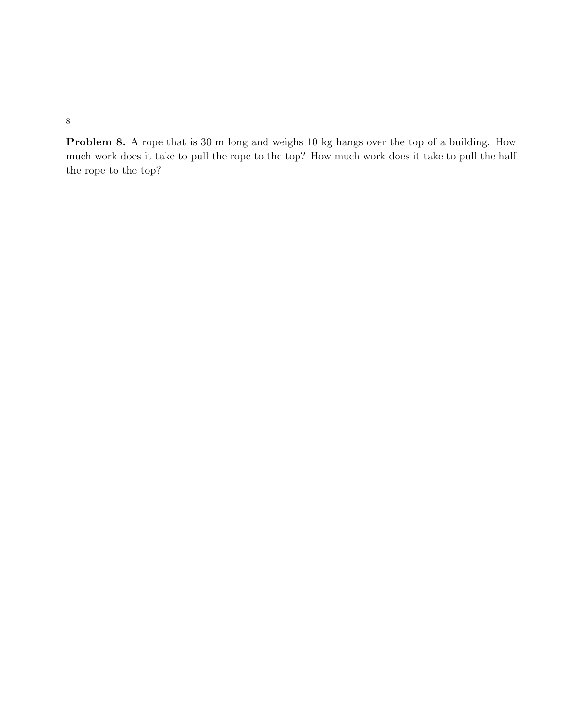Problem 8. A rope that is 30 m long and weighs 10 kg hangs over the top of a building. How much work does it take to pull the rope to the top? How much work does it take to pull the half the rope to the top?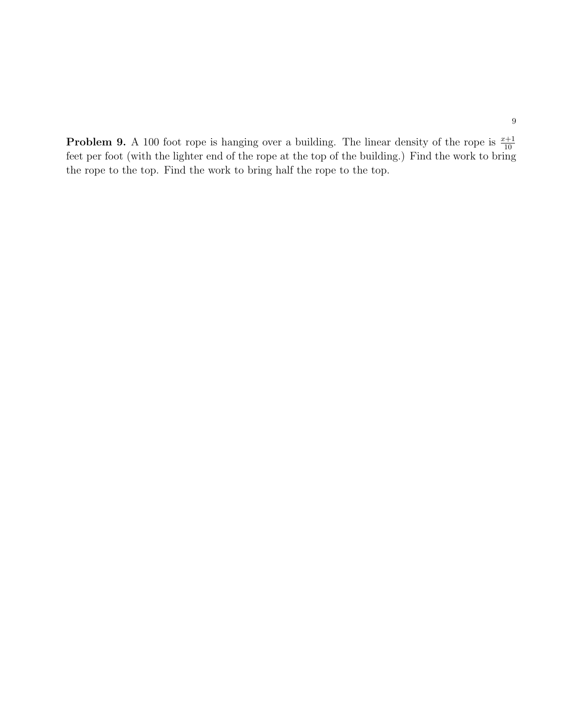**Problem 9.** A 100 foot rope is hanging over a building. The linear density of the rope is  $\frac{x+1}{10}$ feet per foot (with the lighter end of the rope at the top of the building.) Find the work to bring the rope to the top. Find the work to bring half the rope to the top.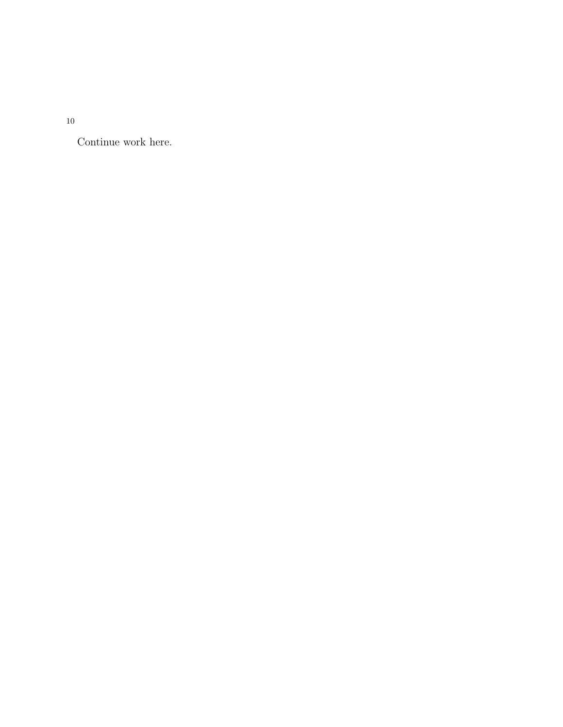Continue work here.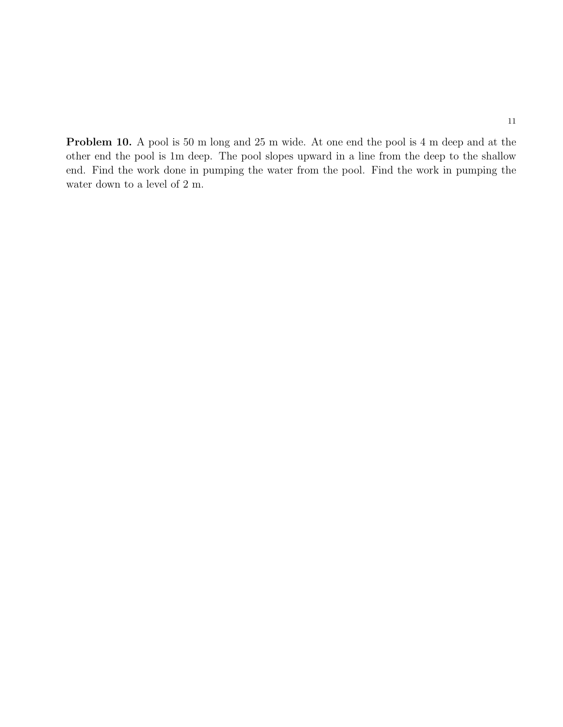Problem 10. A pool is 50 m long and 25 m wide. At one end the pool is 4 m deep and at the other end the pool is 1m deep. The pool slopes upward in a line from the deep to the shallow end. Find the work done in pumping the water from the pool. Find the work in pumping the water down to a level of 2 m.